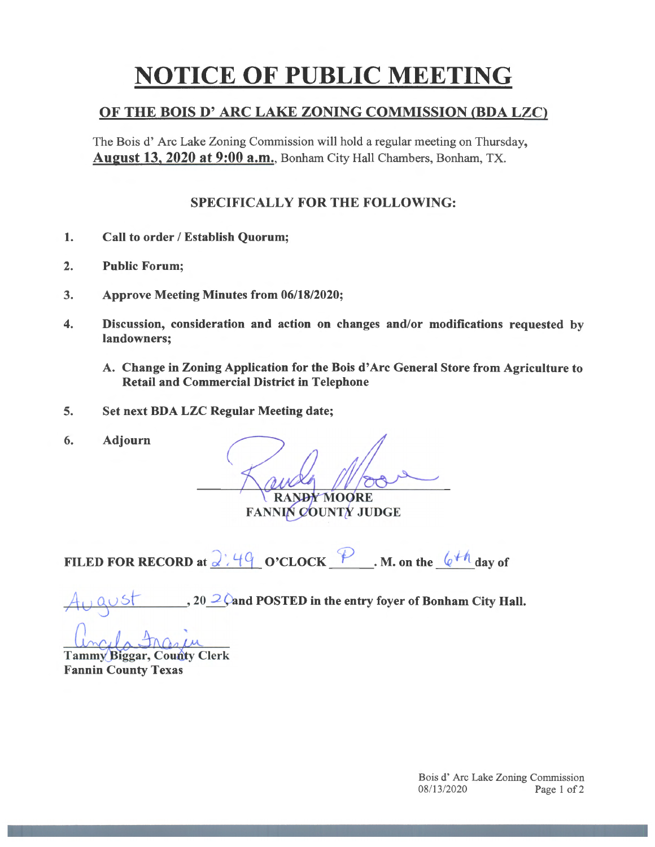## **NOTICE OF PUBLIC MEETING**

## OF THE BOIS D' ARC LAKE ZONING COMMISSION (BDA LZC)

The Bois d' Arc Lake Zoning Commission will hold a regular meeting on Thursday, August 13, 2020 at 9:00 a.m., Bonham City Hall Chambers, Bonham, TX.

## SPECIFICALLY FOR THE FOLLOWING:

- 1. Call to order / Establish Quorum;
- 2. Public Forum;
- 3. Approve Meeting Minutes from 06/18/2020;
- 4. Discussion, consideration and action on changes and/or modifications requested by landowners;
	- A. Change in Zoning Application for the Bois d' Arc General Store from Agriculture to Retail and Commercial District in Telephone
- 5. Set next BOA LZC Regular Meeting date;
- 6. Adjourn

 $\overline{\phantom{a}}$ *1*

RANDY MOORE

FANNIN COUNTY JUDGE

FILED FOR RECORD at  $\frac{\partial \mathcal{L}}{\partial q}$  O'CLOCK  $\frac{\partial P}{\partial q}$ . M. on the  $\frac{\partial H}{\partial q}$  day of

<sub>20</sub> 20 and POSTED in the entry foyer of Bonham City Hall.

**Tammy Biggar, County Clerk Fannin County Texas**